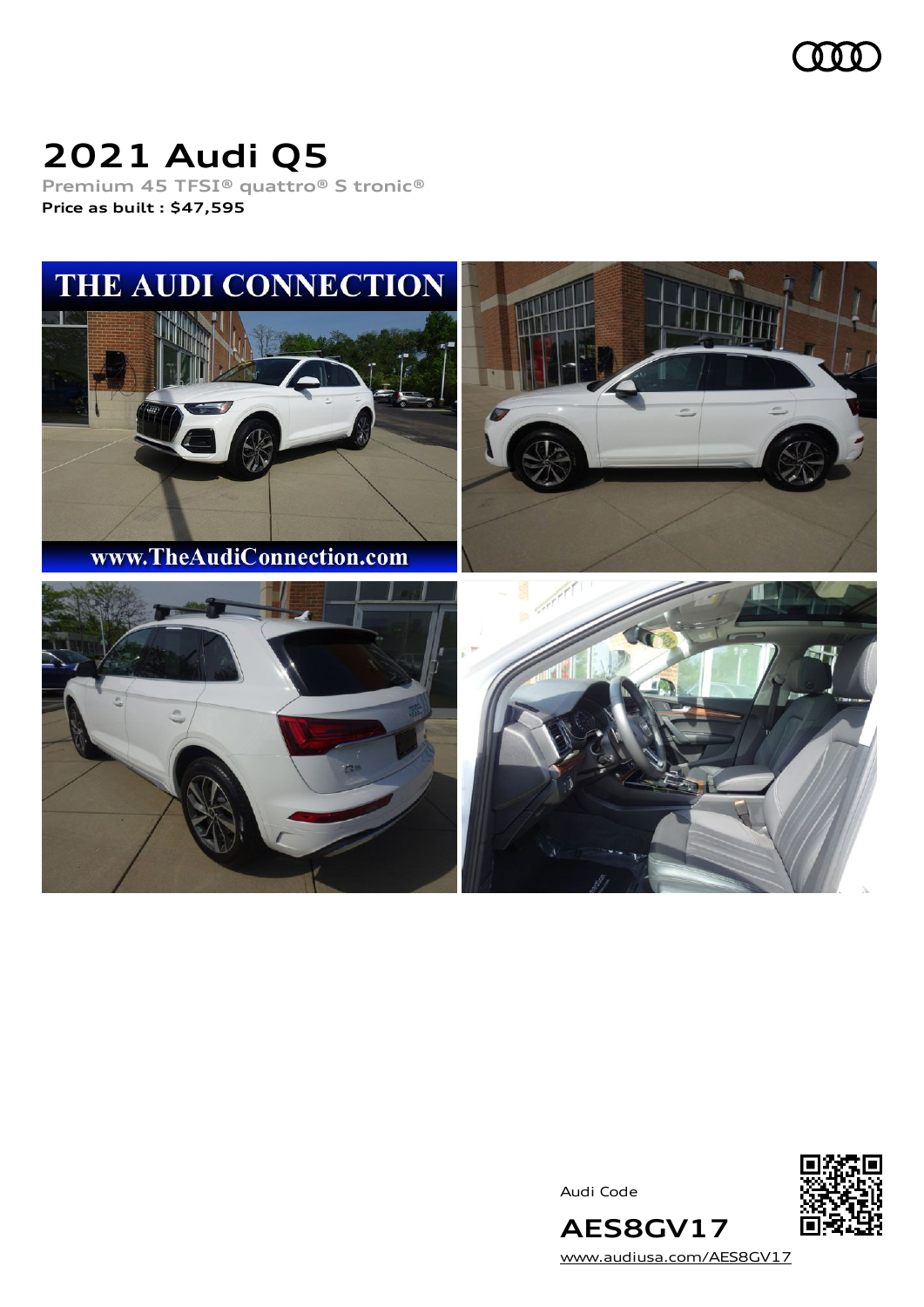

# **2021 Audi Q5**

**Premium 45 TFSI® quattro® S tronic® Price as built [:](#page-10-0) \$47,595**



Audi Code



[www.audiusa.com/AES8GV17](https://www.audiusa.com/AES8GV17)

**AES8GV17**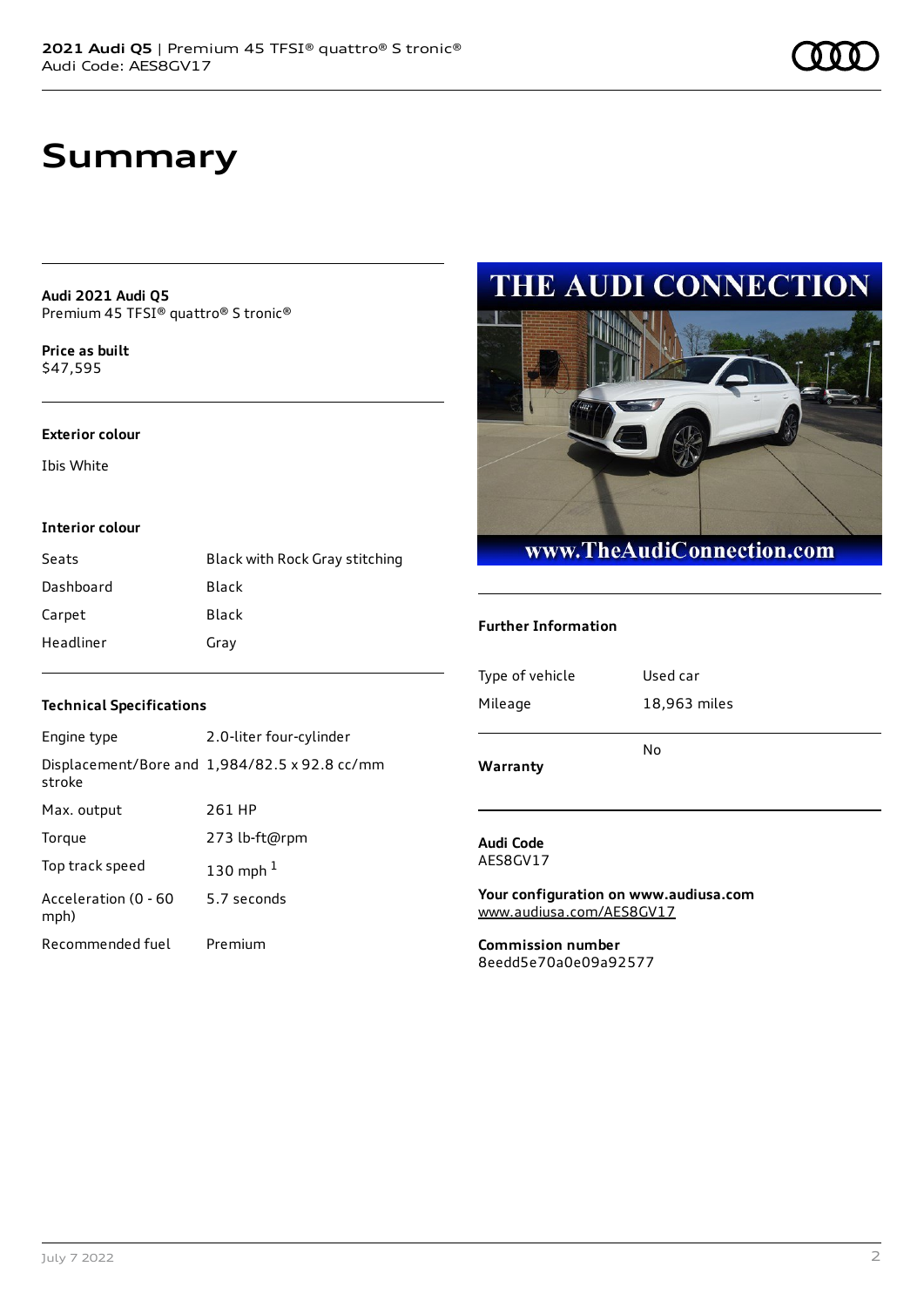### **Summary**

**Audi 2021 Audi Q5** Premium 45 TFSI® quattro® S tronic®

**Price as buil[t](#page-10-0)** \$47,595

#### **Exterior colour**

Ibis White

#### **Interior colour**

| Seats     | Black with Rock Gray stitching |
|-----------|--------------------------------|
| Dashboard | Black                          |
| Carpet    | Black                          |
| Headliner | Gray                           |

### **Technical Specifications**

| Engine type                  | 2.0-liter four-cylinder                              |
|------------------------------|------------------------------------------------------|
| stroke                       | Displacement/Bore and $1,984/82.5 \times 92.8$ cc/mm |
| Max. output                  | 261 HP                                               |
| Torque                       | 273 lb-ft@rpm                                        |
| Top track speed              | 130 mph $1$                                          |
| Acceleration (0 - 60<br>mph) | 5.7 seconds                                          |
| Recommended fuel             | Premium                                              |

### **THE AUDI CONNECTION**



#### **Further Information**

| Warranty        | No           |
|-----------------|--------------|
| Mileage         | 18,963 miles |
| Type of vehicle | Used car     |
|                 |              |

#### **Audi Code** AES8GV17

**Your configuration on www.audiusa.com** [www.audiusa.com/AES8GV17](https://www.audiusa.com/AES8GV17)

**Commission number** 8eedd5e70a0e09a92577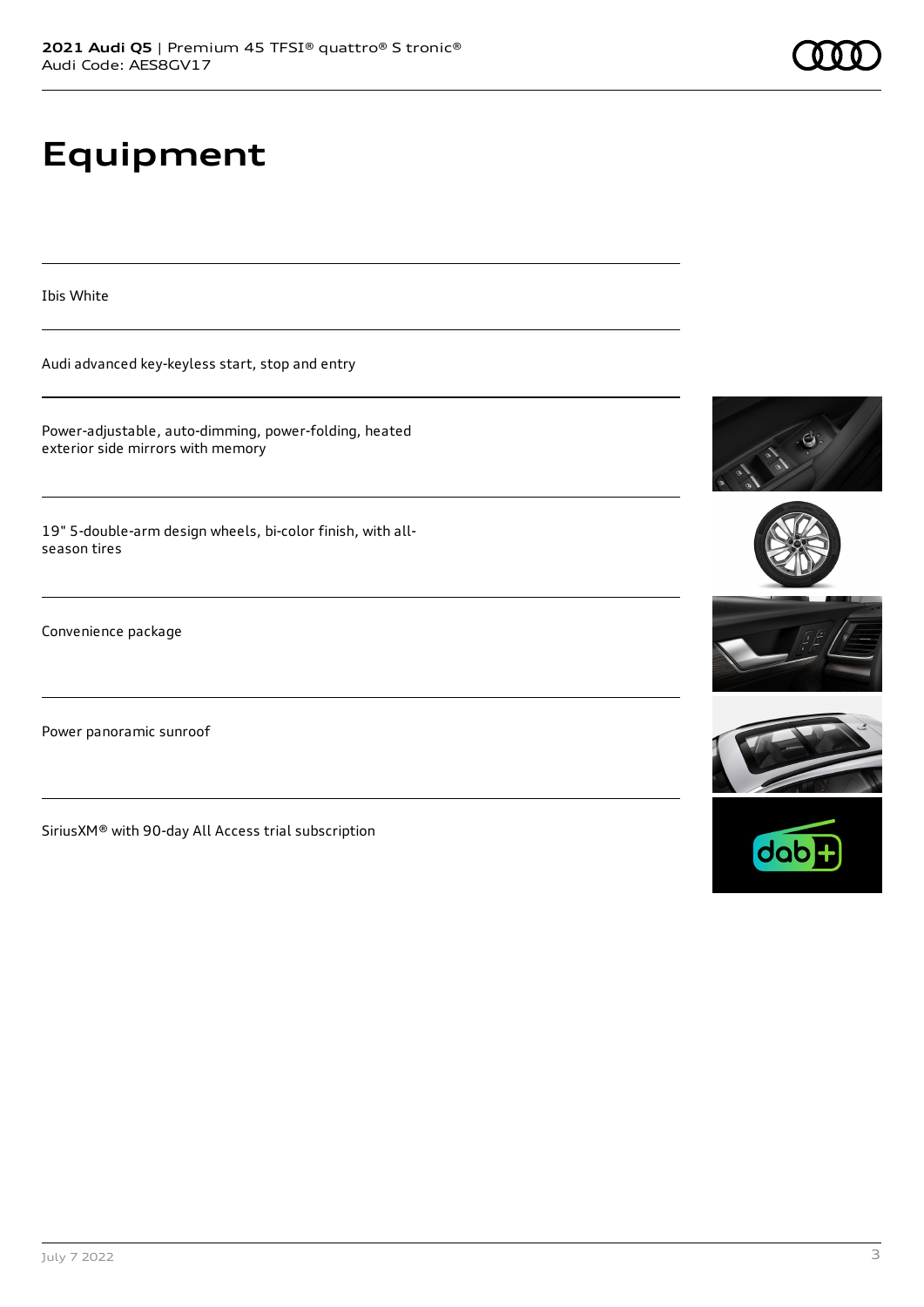# **Equipment**

Ibis White

Audi advanced key-keyless start, stop and entry

Power-adjustable, auto-dimming, power-folding, heated exterior side mirrors with memory

19" 5-double-arm design wheels, bi-color finish, with allseason tires

Convenience package

Power panoramic sunroof

SiriusXM® with 90-day All Access trial subscription









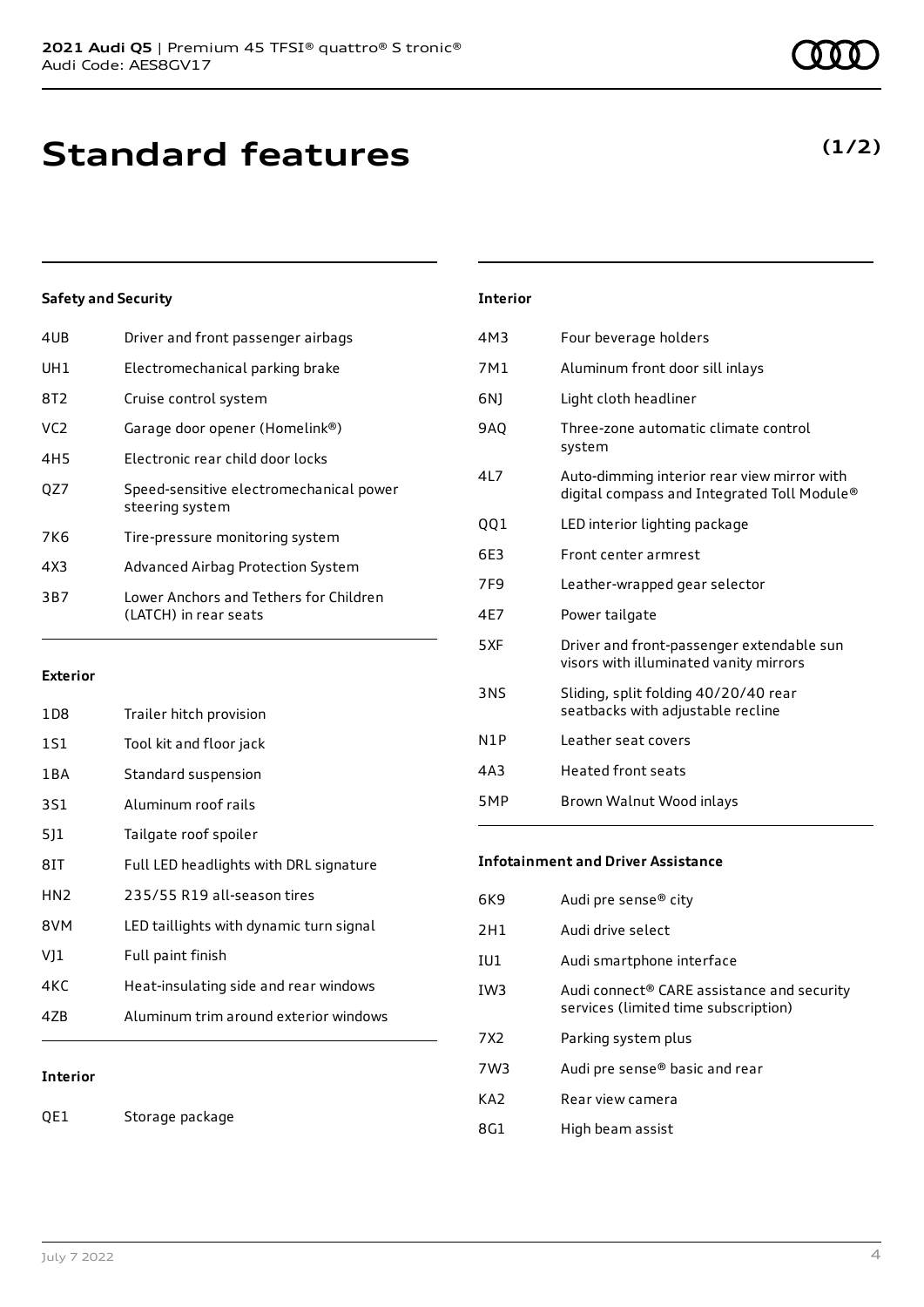## **Standard features**

### **Safety and Security**

| 4UB             | Driver and front passenger airbags                              |
|-----------------|-----------------------------------------------------------------|
| UH1             | Electromechanical parking brake                                 |
| 8T2             | Cruise control system                                           |
| VC <sub>2</sub> | Garage door opener (Homelink®)                                  |
| 4H <sub>5</sub> | Electronic rear child door locks                                |
| OZ7             | Speed-sensitive electromechanical power<br>steering system      |
| 7K6             | Tire-pressure monitoring system                                 |
| 4X3             | Advanced Airbag Protection System                               |
| 3B7             | Lower Anchors and Tethers for Children<br>(LATCH) in rear seats |
|                 |                                                                 |

#### **Exterior**

| 1 D 8           | Trailer hitch provision                 |
|-----------------|-----------------------------------------|
| 1S1             | Tool kit and floor jack                 |
| 1 B A           | Standard suspension                     |
| 3S1             | Aluminum roof rails                     |
| 511             | Tailgate roof spoiler                   |
| 8IT             | Full LED headlights with DRL signature  |
| HN <sub>2</sub> | 235/55 R19 all-season tires             |
| 8VM             | LED taillights with dynamic turn signal |
| V]1             | Full paint finish                       |
| 4KC             | Heat-insulating side and rear windows   |
| 47B             | Aluminum trim around exterior windows   |
|                 |                                         |

### **Interior**

QE1 Storage package

### **Interior**

| 4M3        | Four beverage holders                                                                      |
|------------|--------------------------------------------------------------------------------------------|
| 7M1        | Aluminum front door sill inlays                                                            |
| 6N)        | Light cloth headliner                                                                      |
| 9AO        | Three-zone automatic climate control<br>system                                             |
| 4L7        | Auto-dimming interior rear view mirror with<br>digital compass and Integrated Toll Module® |
| 001        | LED interior lighting package                                                              |
| 6F3        | Front center armrest                                                                       |
| 7F9        | Leather-wrapped gear selector                                                              |
| 4E7        | Power tailgate                                                                             |
| 5XF        | Driver and front-passenger extendable sun<br>visors with illuminated vanity mirrors        |
| <b>3NS</b> | Sliding, split folding 40/20/40 rear<br>seatbacks with adjustable recline                  |
| N1P        | Leather seat covers                                                                        |
| 4A3        | <b>Heated front seats</b>                                                                  |
| 5MP        | Brown Walnut Wood inlays                                                                   |

#### **Infotainment and Driver Assistance**

| 6K9             | Audi pre sense® city                                                                           |
|-----------------|------------------------------------------------------------------------------------------------|
| 2H1             | Audi drive select                                                                              |
| IU1             | Audi smartphone interface                                                                      |
| IW <sub>3</sub> | Audi connect <sup>®</sup> CARE assistance and security<br>services (limited time subscription) |
| 7X <sub>2</sub> | Parking system plus                                                                            |
| 7W3             | Audi pre sense® basic and rear                                                                 |
| KA <sub>2</sub> | Rear view camera                                                                               |
| 8G1             | High beam assist                                                                               |
|                 |                                                                                                |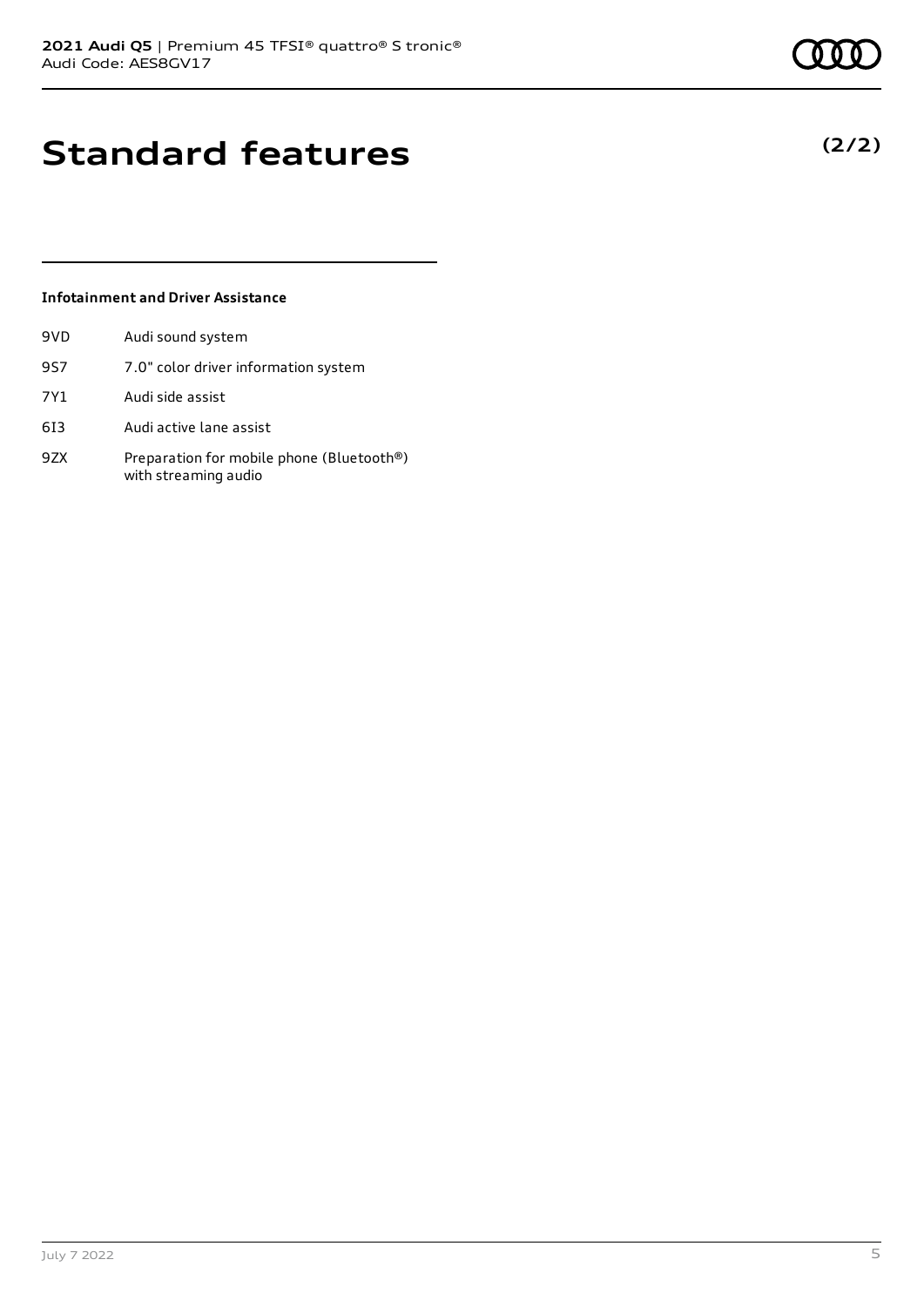**(2/2)**

## **Standard features**

### **Infotainment and Driver Assistance**

| 9VD | Audi sound system                                                 |
|-----|-------------------------------------------------------------------|
| 9S7 | 7.0" color driver information system                              |
| 7Y1 | Audi side assist                                                  |
| 613 | Audi active lane assist                                           |
| 9ZX | Preparation for mobile phone (Bluetooth®)<br>with streaming audio |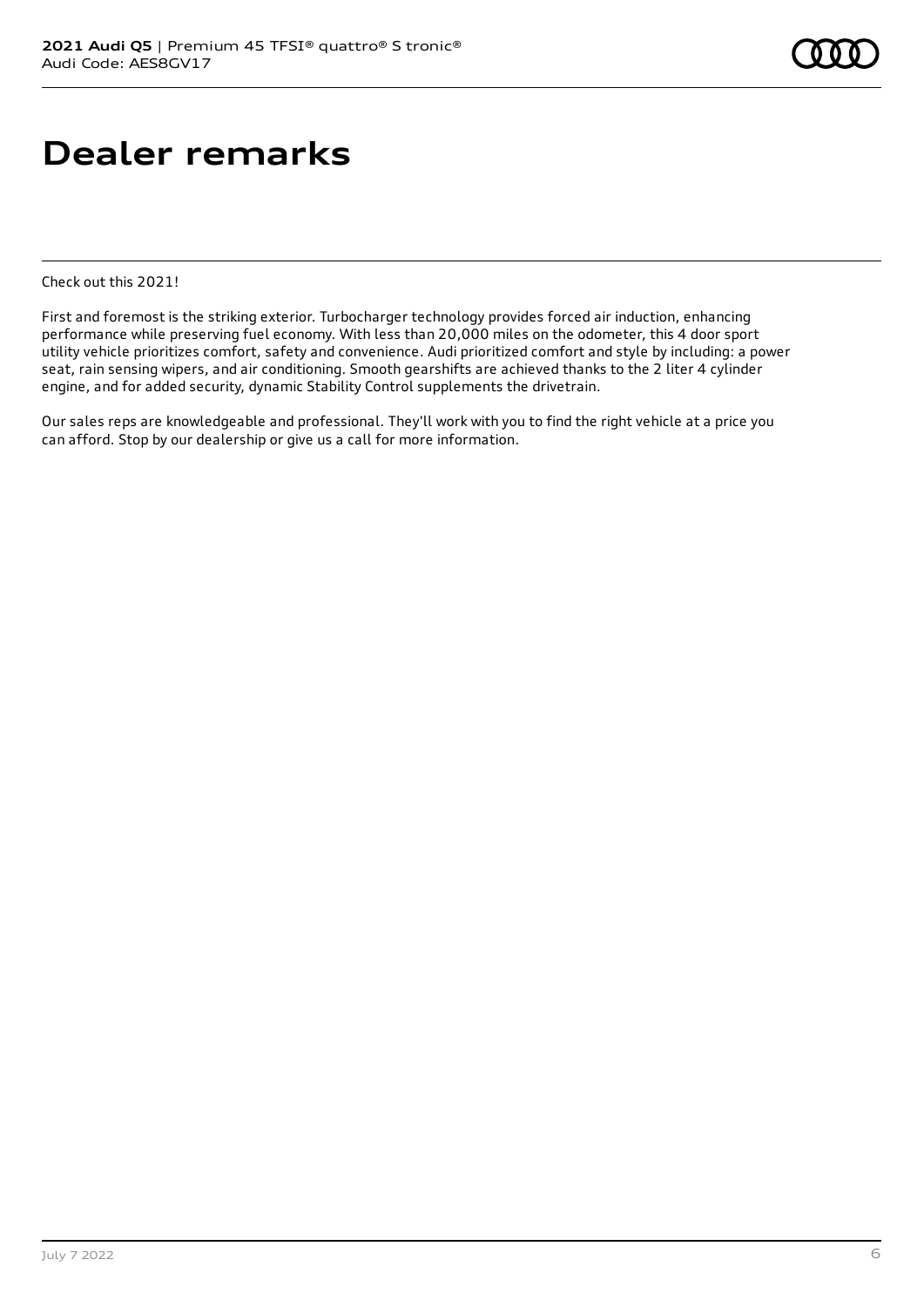### **Dealer remarks**

Check out this 2021!

First and foremost is the striking exterior. Turbocharger technology provides forced air induction, enhancing performance while preserving fuel economy. With less than 20,000 miles on the odometer, this 4 door sport utility vehicle prioritizes comfort, safety and convenience. Audi prioritized comfort and style by including: a power seat, rain sensing wipers, and air conditioning. Smooth gearshifts are achieved thanks to the 2 liter 4 cylinder engine, and for added security, dynamic Stability Control supplements the drivetrain.

Our sales reps are knowledgeable and professional. They'll work with you to find the right vehicle at a price you can afford. Stop by our dealership or give us a call for more information.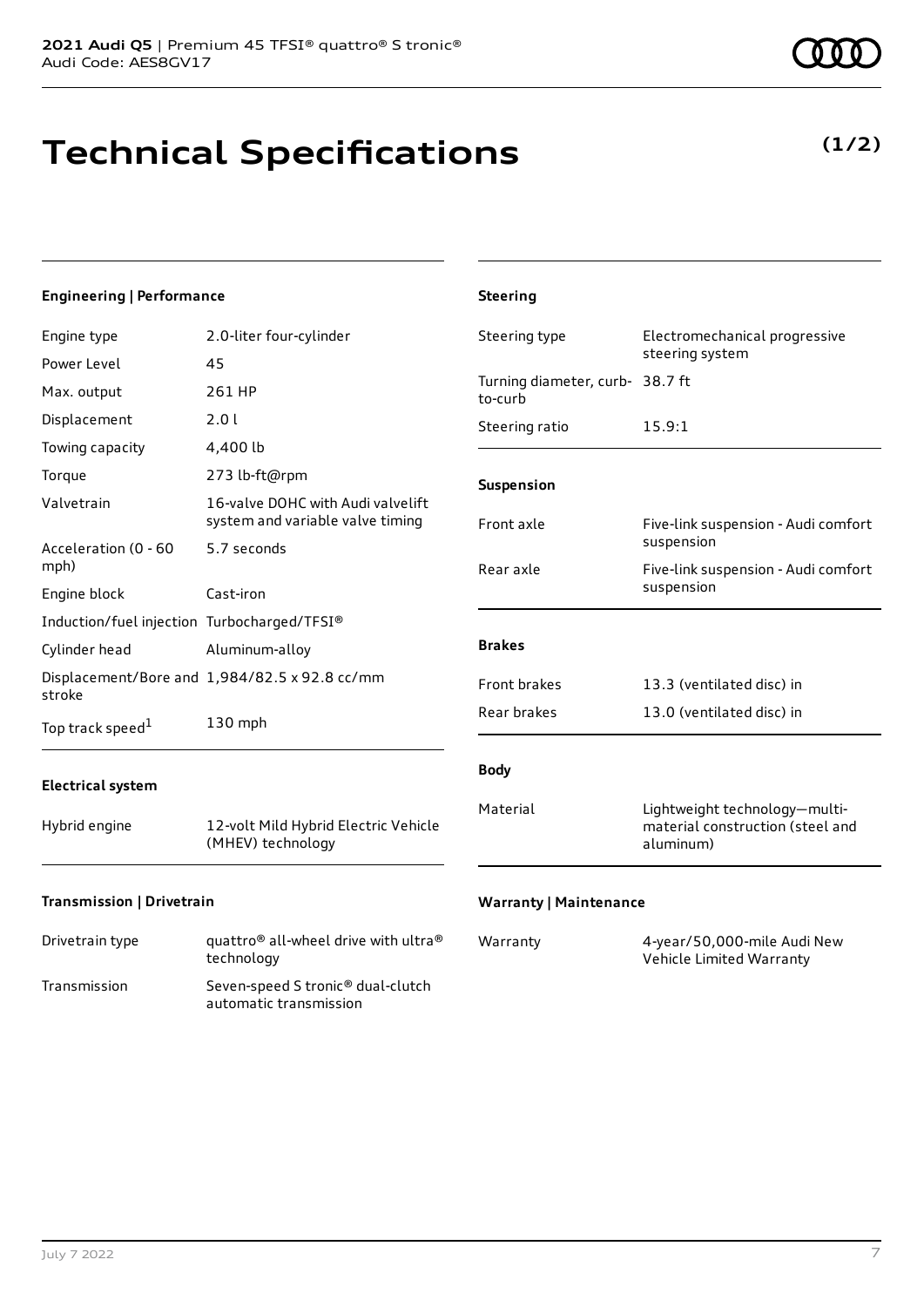# **Technical Specifications**

**(1/2)**

#### **Engineering | Performance** Engine type 2.0-liter four-cylinder Power Level 45 Max. output 261 HP Displacement 2.0 l Towing capacity 4,400 lb Torque 273 lb-ft@rpm Valvetrain 16-valve DOHC with Audi valvelift system and variable valve timing Acceleration (0 - 60 mph) 5.7 seconds Engine block Cast-iron Induction/fuel injection Turbocharged/TFSI® Cylinder head Aluminum-alloy Displacement/Bore and 1,984/82.5 x 92.8 cc/mm stroke Top track speed<sup>1</sup> [1](#page-10-0) 130 mph **Electrical system** Hybrid engine 12-volt Mild Hybrid Electric Vehicle (MHEV) technology **Transmission | Drivetrain Steering** Steering type Electromechanical progressive steering system Turning diameter, curb-38.7 ft to-curb Steering ratio 15.9:1 **Suspension** Front axle Five-link suspension - Audi comfort suspension Rear axle Five-link suspension - Audi comfort suspension **Brakes** Front brakes 13.3 (ventilated disc) in Rear brakes 13.0 (ventilated disc) in **Body** Material Lightweight technology—multimaterial construction (steel and aluminum) **Warranty | Maintenance**

| Drivetrain type | quattro <sup>®</sup> all-wheel drive with ultra <sup>®</sup><br>technology |
|-----------------|----------------------------------------------------------------------------|
| Transmission    | Seven-speed S tronic <sup>®</sup> dual-clutch<br>automatic transmission    |

| Warranty | 4-year/50,000-mile Audi New |
|----------|-----------------------------|
|          | Vehicle Limited Warranty    |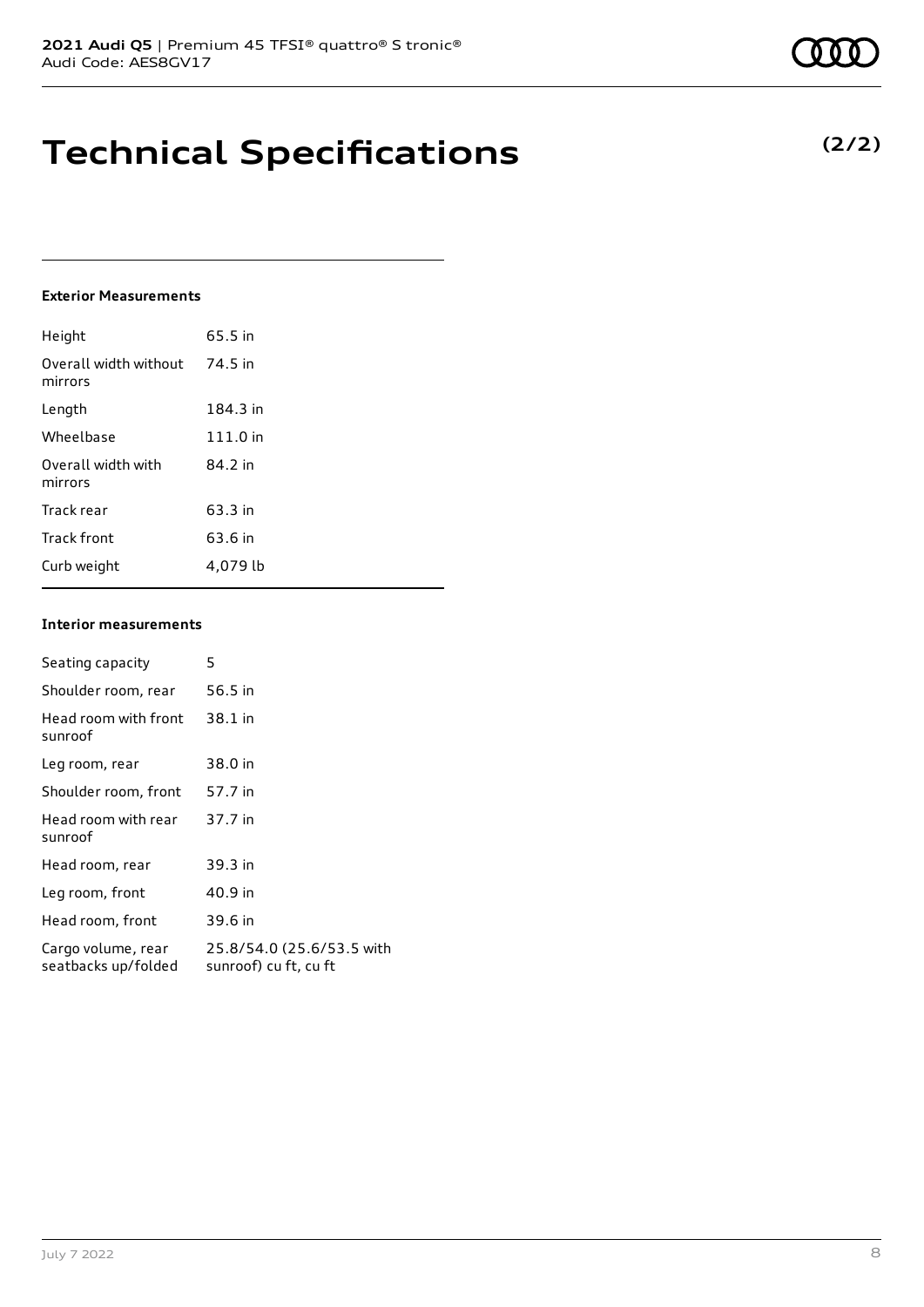### **Technical Specifications**

### **Exterior Measurements**

| Height                           | 65.5 in  |
|----------------------------------|----------|
| Overall width without<br>mirrors | 74.5 in  |
| Length                           | 184.3 in |
| Wheelbase                        | 111.0 in |
| Overall width with<br>mirrors    | 84.2 in  |
| Track rear                       | 63.3 in  |
| Track front                      | 63.6 in  |
| Curb weight                      | 4.079 lb |

#### **Interior measurements**

| Seating capacity                          | 5                                                  |
|-------------------------------------------|----------------------------------------------------|
| Shoulder room, rear                       | 56.5 in                                            |
| Head room with front<br>sunroof           | 38.1 in                                            |
| Leg room, rear                            | 38.0 in                                            |
| Shoulder room, front                      | 57.7 in                                            |
| Head room with rear<br>sunroof            | 37.7 in                                            |
| Head room, rear                           | 39.3 in                                            |
| Leg room, front                           | 40.9 in                                            |
| Head room, front                          | 39.6 in                                            |
| Cargo volume, rear<br>seatbacks up/folded | 25.8/54.0 (25.6/53.5 with<br>sunroof) cu ft, cu ft |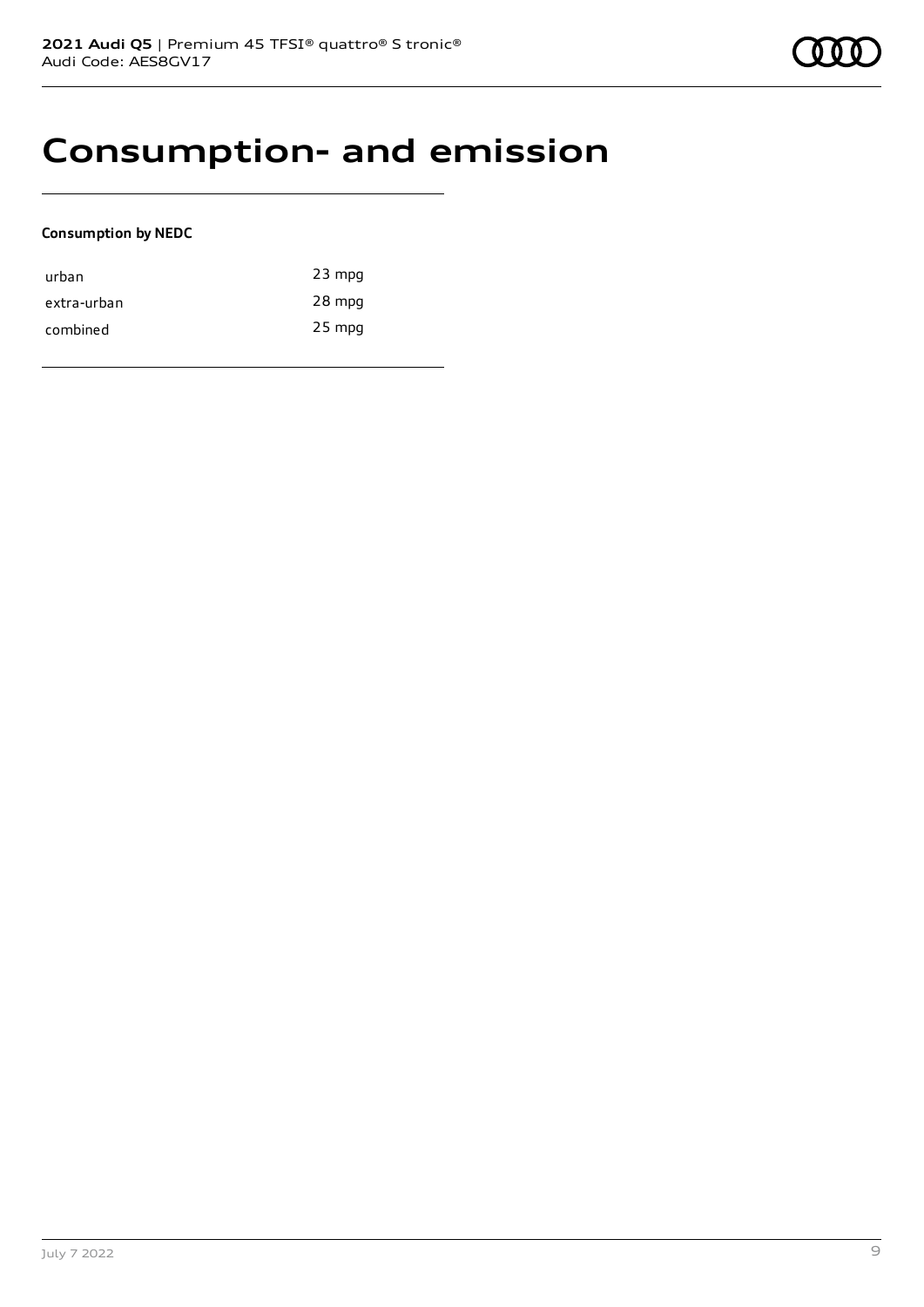### **Consumption- and emission**

### **Consumption by NEDC**

| urban       | $23$ mpg |
|-------------|----------|
| extra-urban | 28 mpg   |
| combined    | $25$ mpg |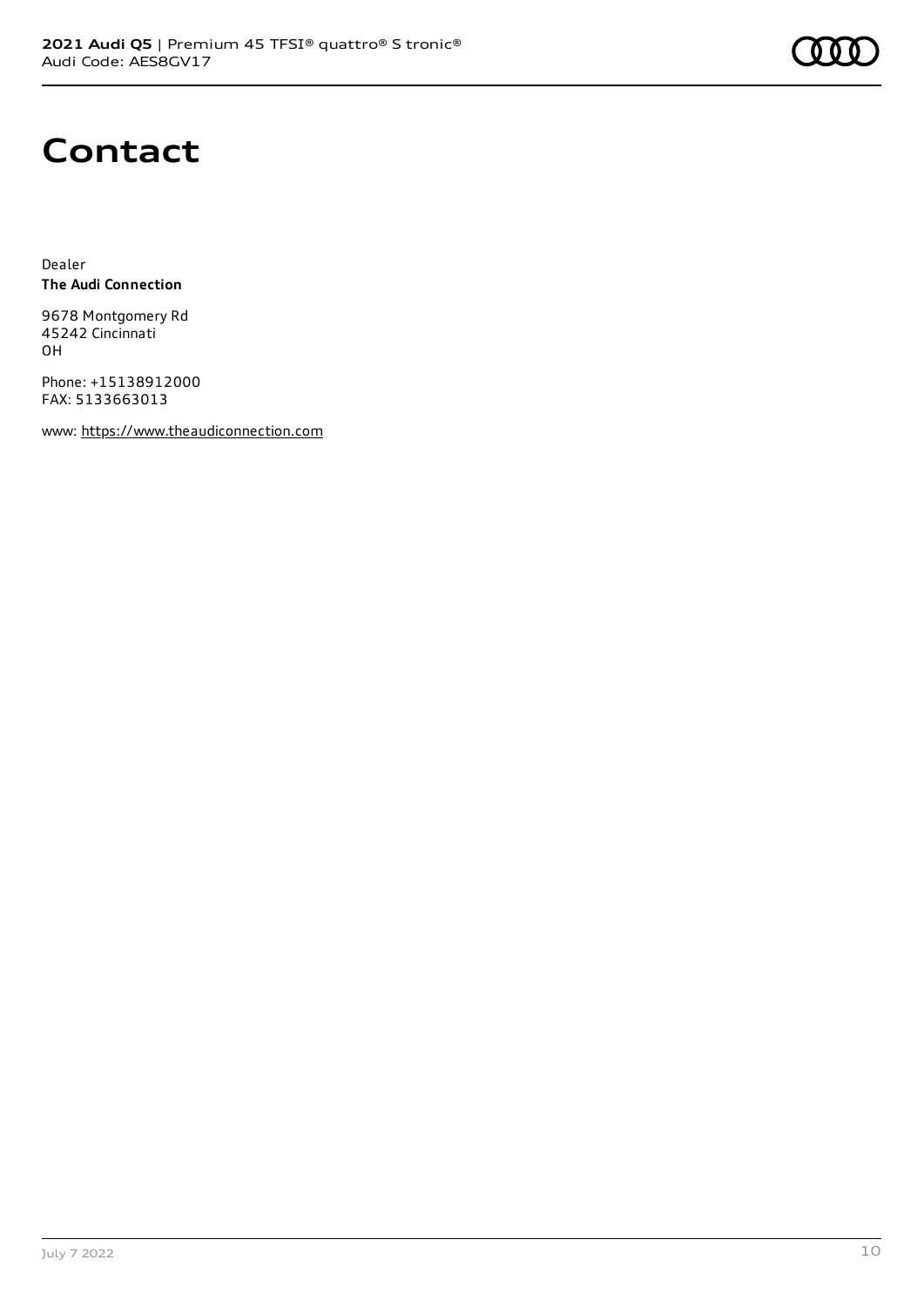

### **Contact**

Dealer **The Audi Connection**

9678 Montgomery Rd 45242 Cincinnati OH

Phone: +15138912000 FAX: 5133663013

www: [https://www.theaudiconnection.com](https://www.theaudiconnection.com/)